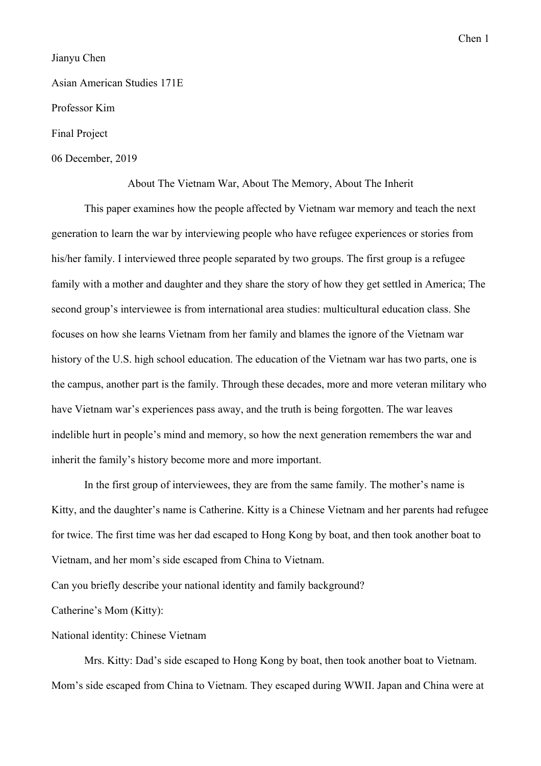Chen 1

## Jianyu Chen

## Asian American Studies 171E

Professor Kim

#### Final Project

### 06 December, 2019

About The Vietnam War, About The Memory, About The Inherit

This paper examines how the people affected by Vietnam war memory and teach the next generation to learn the war by interviewing people who have refugee experiences or stories from his/her family. I interviewed three people separated by two groups. The first group is a refugee family with a mother and daughter and they share the story of how they get settled in America; The second group's interviewee is from international area studies: multicultural education class. She focuses on how she learns Vietnam from her family and blames the ignore of the Vietnam war history of the U.S. high school education. The education of the Vietnam war has two parts, one is the campus, another part is the family. Through these decades, more and more veteran military who have Vietnam war's experiences pass away, and the truth is being forgotten. The war leaves indelible hurt in people's mind and memory, so how the next generation remembers the war and inherit the family's history become more and more important.

In the first group of interviewees, they are from the same family. The mother's name is Kitty, and the daughter's name is Catherine. Kitty is a Chinese Vietnam and her parents had refugee for twice. The first time was her dad escaped to Hong Kong by boat, and then took another boat to Vietnam, and her mom's side escaped from China to Vietnam.

Can you briefly describe your national identity and family background?

Catherine's Mom (Kitty):

#### National identity: Chinese Vietnam

Mrs. Kitty: Dad's side escaped to Hong Kong by boat, then took another boat to Vietnam. Mom's side escaped from China to Vietnam. They escaped during WWII. Japan and China were at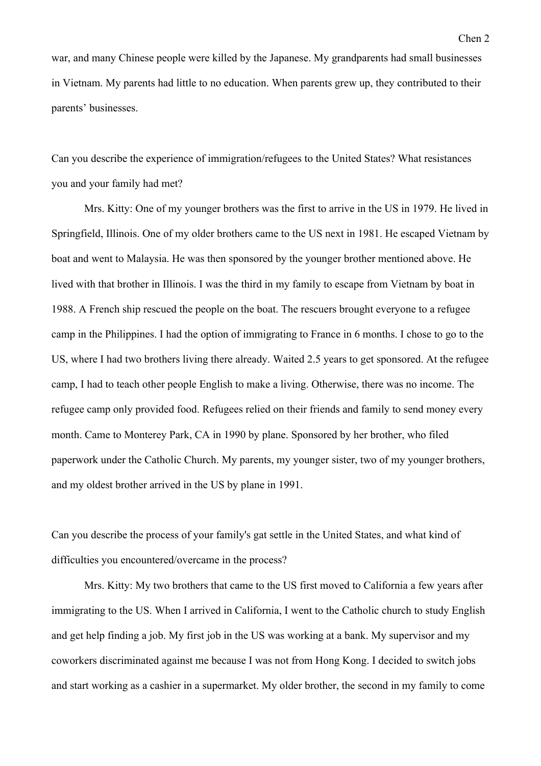war, and many Chinese people were killed by the Japanese. My grandparents had small businesses in Vietnam. My parents had little to no education. When parents grew up, they contributed to their parents' businesses.

Can you describe the experience of immigration/refugees to the United States? What resistances you and your family had met?

Mrs. Kitty: One of my younger brothers was the first to arrive in the US in 1979. He lived in Springfield, Illinois. One of my older brothers came to the US next in 1981. He escaped Vietnam by boat and went to Malaysia. He was then sponsored by the younger brother mentioned above. He lived with that brother in Illinois. I was the third in my family to escape from Vietnam by boat in 1988. A French ship rescued the people on the boat. The rescuers brought everyone to a refugee camp in the Philippines. I had the option of immigrating to France in 6 months. I chose to go to the US, where I had two brothers living there already. Waited 2.5 years to get sponsored. At the refugee camp, I had to teach other people English to make a living. Otherwise, there was no income. The refugee camp only provided food. Refugees relied on their friends and family to send money every month. Came to Monterey Park, CA in 1990 by plane. Sponsored by her brother, who filed paperwork under the Catholic Church. My parents, my younger sister, two of my younger brothers, and my oldest brother arrived in the US by plane in 1991.

Can you describe the process of your family's gat settle in the United States, and what kind of difficulties you encountered/overcame in the process?

Mrs. Kitty: My two brothers that came to the US first moved to California a few years after immigrating to the US. When I arrived in California, I went to the Catholic church to study English and get help finding a job. My first job in the US was working at a bank. My supervisor and my coworkers discriminated against me because I was not from Hong Kong. I decided to switch jobs and start working as a cashier in a supermarket. My older brother, the second in my family to come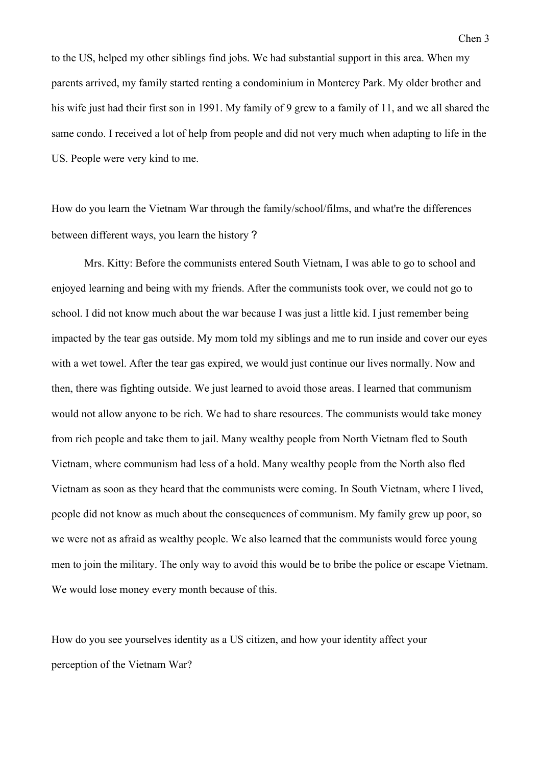to the US, helped my other siblings find jobs. We had substantial support in this area. When my parents arrived, my family started renting a condominium in Monterey Park. My older brother and his wife just had their first son in 1991. My family of 9 grew to a family of 11, and we all shared the same condo. I received a lot of help from people and did not very much when adapting to life in the US. People were very kind to me.

How do you learn the Vietnam War through the family/school/films, and what're the differences between different ways, you learn the history?

Mrs. Kitty: Before the communists entered South Vietnam, I was able to go to school and enjoyed learning and being with my friends. After the communists took over, we could not go to school. I did not know much about the war because I was just a little kid. I just remember being impacted by the tear gas outside. My mom told my siblings and me to run inside and cover our eyes with a wet towel. After the tear gas expired, we would just continue our lives normally. Now and then, there was fighting outside. We just learned to avoid those areas. I learned that communism would not allow anyone to be rich. We had to share resources. The communists would take money from rich people and take them to jail. Many wealthy people from North Vietnam fled to South Vietnam, where communism had less of a hold. Many wealthy people from the North also fled Vietnam as soon as they heard that the communists were coming. In South Vietnam, where I lived, people did not know as much about the consequences of communism. My family grew up poor, so we were not as afraid as wealthy people. We also learned that the communists would force young men to join the military. The only way to avoid this would be to bribe the police or escape Vietnam. We would lose money every month because of this.

How do you see yourselves identity as a US citizen, and how your identity affect your perception of the Vietnam War?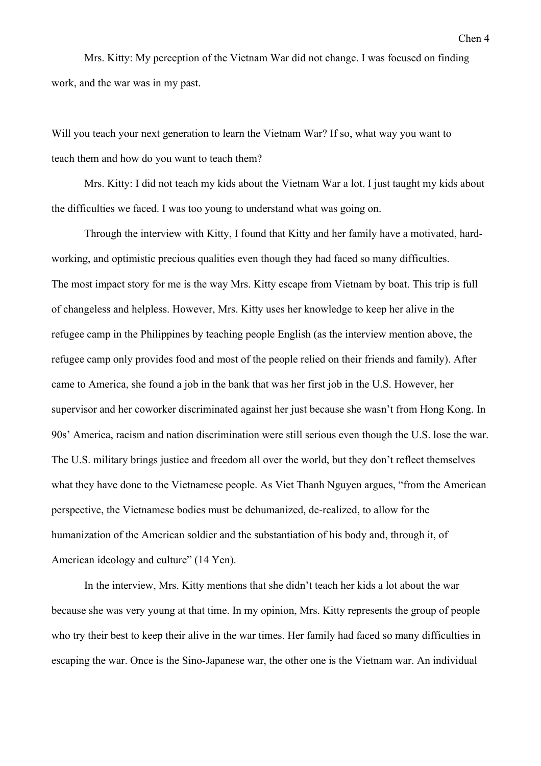Mrs. Kitty: My perception of the Vietnam War did not change. I was focused on finding work, and the war was in my past.

Will you teach your next generation to learn the Vietnam War? If so, what way you want to teach them and how do you want to teach them?

Mrs. Kitty: I did not teach my kids about the Vietnam War a lot. I just taught my kids about the difficulties we faced. I was too young to understand what was going on.

Through the interview with Kitty, I found that Kitty and her family have a motivated, hardworking, and optimistic precious qualities even though they had faced so many difficulties. The most impact story for me is the way Mrs. Kitty escape from Vietnam by boat. This trip is full of changeless and helpless. However, Mrs. Kitty uses her knowledge to keep her alive in the refugee camp in the Philippines by teaching people English (as the interview mention above, the refugee camp only provides food and most of the people relied on their friends and family). After came to America, she found a job in the bank that was her first job in the U.S. However, her supervisor and her coworker discriminated against her just because she wasn't from Hong Kong. In 90s' America, racism and nation discrimination were still serious even though the U.S. lose the war. The U.S. military brings justice and freedom all over the world, but they don't reflect themselves what they have done to the Vietnamese people. As Viet Thanh Nguyen argues, "from the American perspective, the Vietnamese bodies must be dehumanized, de-realized, to allow for the humanization of the American soldier and the substantiation of his body and, through it, of American ideology and culture" (14 Yen).

In the interview, Mrs. Kitty mentions that she didn't teach her kids a lot about the war because she was very young at that time. In my opinion, Mrs. Kitty represents the group of people who try their best to keep their alive in the war times. Her family had faced so many difficulties in escaping the war. Once is the Sino-Japanese war, the other one is the Vietnam war. An individual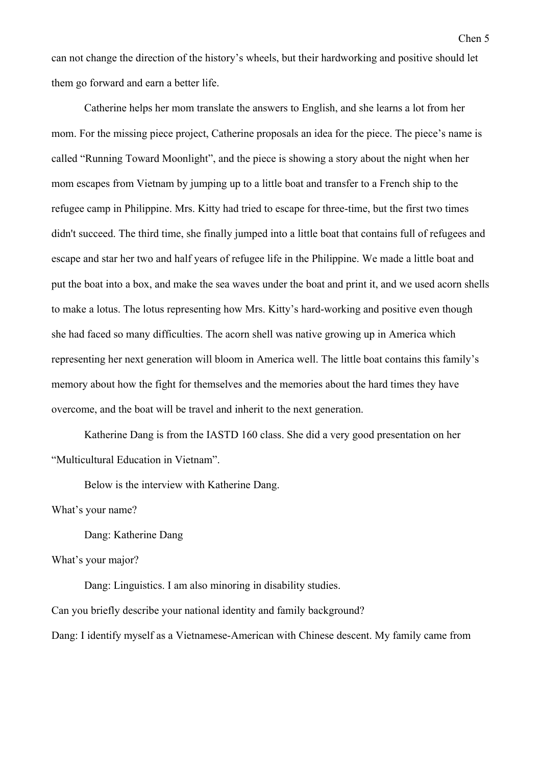can not change the direction of the history's wheels, but their hardworking and positive should let them go forward and earn a better life.

Catherine helps her mom translate the answers to English, and she learns a lot from her mom. For the missing piece project, Catherine proposals an idea for the piece. The piece's name is called "Running Toward Moonlight", and the piece is showing a story about the night when her mom escapes from Vietnam by jumping up to a little boat and transfer to a French ship to the refugee camp in Philippine. Mrs. Kitty had tried to escape for three-time, but the first two times didn't succeed. The third time, she finally jumped into a little boat that contains full of refugees and escape and star her two and half years of refugee life in the Philippine. We made a little boat and put the boat into a box, and make the sea waves under the boat and print it, and we used acorn shells to make a lotus. The lotus representing how Mrs. Kitty's hard-working and positive even though she had faced so many difficulties. The acorn shell was native growing up in America which representing her next generation will bloom in America well. The little boat contains this family's memory about how the fight for themselves and the memories about the hard times they have overcome, and the boat will be travel and inherit to the next generation.

Katherine Dang is from the IASTD 160 class. She did a very good presentation on her "Multicultural Education in Vietnam".

Below is the interview with Katherine Dang.

What's your name?

Dang: Katherine Dang

What's your major?

Dang: Linguistics. I am also minoring in disability studies.

Can you briefly describe your national identity and family background?

Dang: I identify myself as a Vietnamese-American with Chinese descent. My family came from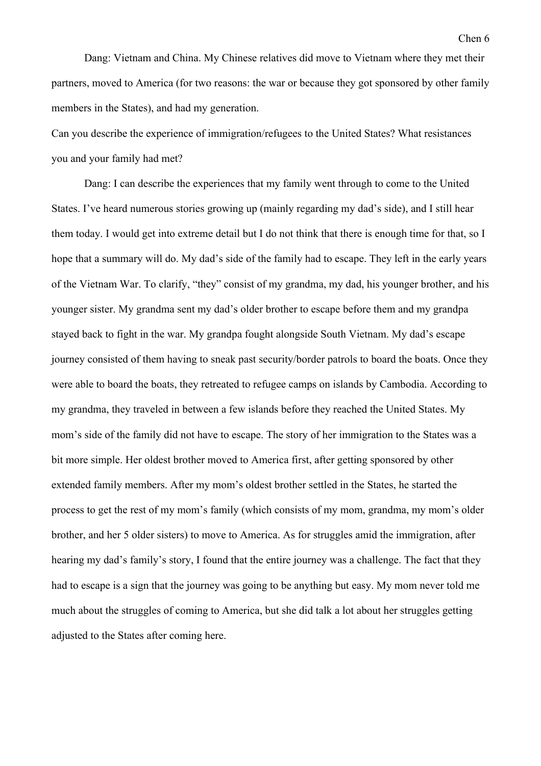Dang: Vietnam and China. My Chinese relatives did move to Vietnam where they met their partners, moved to America (for two reasons: the war or because they got sponsored by other family

members in the States), and had my generation.

Can you describe the experience of immigration/refugees to the United States? What resistances you and your family had met?

Dang: I can describe the experiences that my family went through to come to the United States. I've heard numerous stories growing up (mainly regarding my dad's side), and I still hear them today. I would get into extreme detail but I do not think that there is enough time for that, so I hope that a summary will do. My dad's side of the family had to escape. They left in the early years of the Vietnam War. To clarify, "they" consist of my grandma, my dad, his younger brother, and his younger sister. My grandma sent my dad's older brother to escape before them and my grandpa stayed back to fight in the war. My grandpa fought alongside South Vietnam. My dad's escape journey consisted of them having to sneak past security/border patrols to board the boats. Once they were able to board the boats, they retreated to refugee camps on islands by Cambodia. According to my grandma, they traveled in between a few islands before they reached the United States. My mom's side of the family did not have to escape. The story of her immigration to the States was a bit more simple. Her oldest brother moved to America first, after getting sponsored by other extended family members. After my mom's oldest brother settled in the States, he started the process to get the rest of my mom's family (which consists of my mom, grandma, my mom's older brother, and her 5 older sisters) to move to America. As for struggles amid the immigration, after hearing my dad's family's story, I found that the entire journey was a challenge. The fact that they had to escape is a sign that the journey was going to be anything but easy. My mom never told me much about the struggles of coming to America, but she did talk a lot about her struggles getting adjusted to the States after coming here.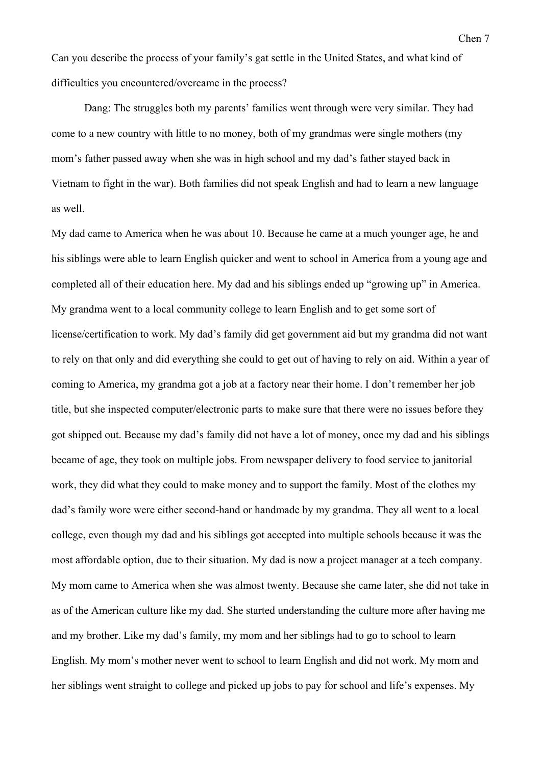Can you describe the process of your family's gat settle in the United States, and what kind of difficulties you encountered/overcame in the process?

Dang: The struggles both my parents' families went through were very similar. They had come to a new country with little to no money, both of my grandmas were single mothers (my mom's father passed away when she was in high school and my dad's father stayed back in Vietnam to fight in the war). Both families did not speak English and had to learn a new language as well.

My dad came to America when he was about 10. Because he came at a much younger age, he and his siblings were able to learn English quicker and went to school in America from a young age and completed all of their education here. My dad and his siblings ended up "growing up" in America. My grandma went to a local community college to learn English and to get some sort of license/certification to work. My dad's family did get government aid but my grandma did not want to rely on that only and did everything she could to get out of having to rely on aid. Within a year of coming to America, my grandma got a job at a factory near their home. I don't remember her job title, but she inspected computer/electronic parts to make sure that there were no issues before they got shipped out. Because my dad's family did not have a lot of money, once my dad and his siblings became of age, they took on multiple jobs. From newspaper delivery to food service to janitorial work, they did what they could to make money and to support the family. Most of the clothes my dad's family wore were either second-hand or handmade by my grandma. They all went to a local college, even though my dad and his siblings got accepted into multiple schools because it was the most affordable option, due to their situation. My dad is now a project manager at a tech company. My mom came to America when she was almost twenty. Because she came later, she did not take in as of the American culture like my dad. She started understanding the culture more after having me and my brother. Like my dad's family, my mom and her siblings had to go to school to learn English. My mom's mother never went to school to learn English and did not work. My mom and her siblings went straight to college and picked up jobs to pay for school and life's expenses. My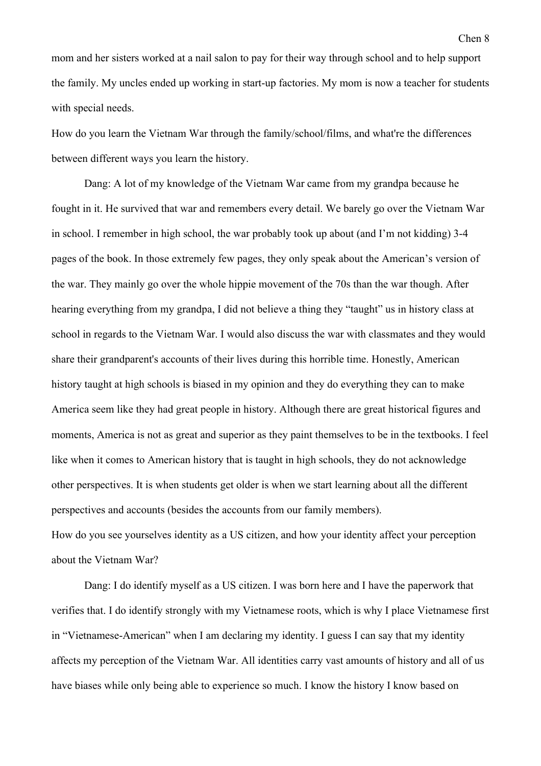mom and her sisters worked at a nail salon to pay for their way through school and to help support the family. My uncles ended up working in start-up factories. My mom is now a teacher for students with special needs.

How do you learn the Vietnam War through the family/school/films, and what're the differences between different ways you learn the history.

Dang: A lot of my knowledge of the Vietnam War came from my grandpa because he fought in it. He survived that war and remembers every detail. We barely go over the Vietnam War in school. I remember in high school, the war probably took up about (and I'm not kidding) 3-4 pages of the book. In those extremely few pages, they only speak about the American's version of the war. They mainly go over the whole hippie movement of the 70s than the war though. After hearing everything from my grandpa, I did not believe a thing they "taught" us in history class at school in regards to the Vietnam War. I would also discuss the war with classmates and they would share their grandparent's accounts of their lives during this horrible time. Honestly, American history taught at high schools is biased in my opinion and they do everything they can to make America seem like they had great people in history. Although there are great historical figures and moments, America is not as great and superior as they paint themselves to be in the textbooks. I feel like when it comes to American history that is taught in high schools, they do not acknowledge other perspectives. It is when students get older is when we start learning about all the different perspectives and accounts (besides the accounts from our family members). How do you see yourselves identity as a US citizen, and how your identity affect your perception about the Vietnam War?

Dang: I do identify myself as a US citizen. I was born here and I have the paperwork that verifies that. I do identify strongly with my Vietnamese roots, which is why I place Vietnamese first in "Vietnamese-American" when I am declaring my identity. I guess I can say that my identity affects my perception of the Vietnam War. All identities carry vast amounts of history and all of us have biases while only being able to experience so much. I know the history I know based on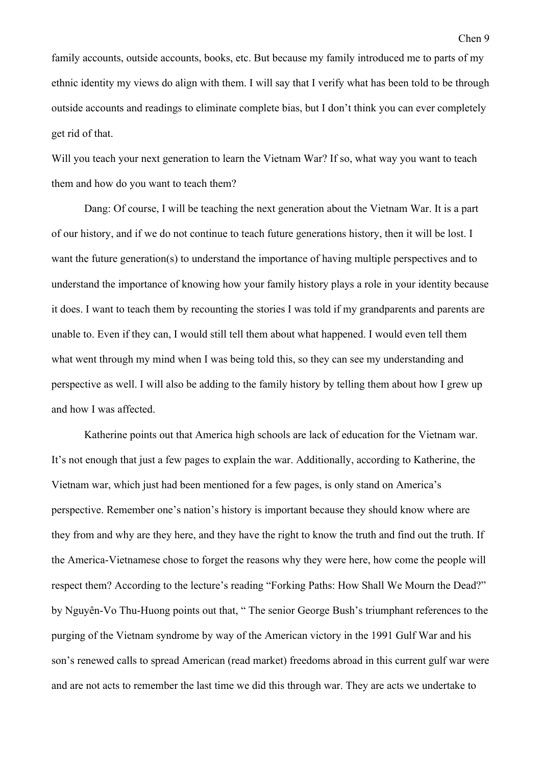family accounts, outside accounts, books, etc. But because my family introduced me to parts of my ethnic identity my views do align with them. I will say that I verify what has been told to be through outside accounts and readings to eliminate complete bias, but I don't think you can ever completely get rid of that.

Will you teach your next generation to learn the Vietnam War? If so, what way you want to teach them and how do you want to teach them?

Dang: Of course, I will be teaching the next generation about the Vietnam War. It is a part of our history, and if we do not continue to teach future generations history, then it will be lost. I want the future generation(s) to understand the importance of having multiple perspectives and to understand the importance of knowing how your family history plays a role in your identity because it does. I want to teach them by recounting the stories I was told if my grandparents and parents are unable to. Even if they can, I would still tell them about what happened. I would even tell them what went through my mind when I was being told this, so they can see my understanding and perspective as well. I will also be adding to the family history by telling them about how I grew up and how I was affected.

Katherine points out that America high schools are lack of education for the Vietnam war. It's not enough that just a few pages to explain the war. Additionally, according to Katherine, the Vietnam war, which just had been mentioned for a few pages, is only stand on America's perspective. Remember one's nation's history is important because they should know where are they from and why are they here, and they have the right to know the truth and find out the truth. If the America-Vietnamese chose to forget the reasons why they were here, how come the people will respect them? According to the lecture's reading "Forking Paths: How Shall We Mourn the Dead?" by Nguyên-Vo Thu-Huong points out that, " The senior George Bush's triumphant references to the purging of the Vietnam syndrome by way of the American victory in the 1991 Gulf War and his son's renewed calls to spread American (read market) freedoms abroad in this current gulf war were and are not acts to remember the last time we did this through war. They are acts we undertake to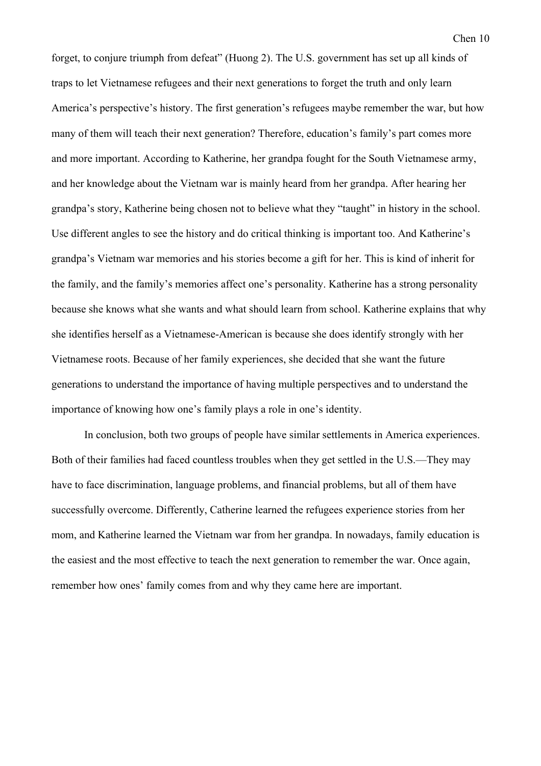forget, to conjure triumph from defeat" (Huong 2). The U.S. government has set up all kinds of traps to let Vietnamese refugees and their next generations to forget the truth and only learn America's perspective's history. The first generation's refugees maybe remember the war, but how many of them will teach their next generation? Therefore, education's family's part comes more and more important. According to Katherine, her grandpa fought for the South Vietnamese army, and her knowledge about the Vietnam war is mainly heard from her grandpa. After hearing her grandpa's story, Katherine being chosen not to believe what they "taught" in history in the school. Use different angles to see the history and do critical thinking is important too. And Katherine's grandpa's Vietnam war memories and his stories become a gift for her. This is kind of inherit for the family, and the family's memories affect one's personality. Katherine has a strong personality because she knows what she wants and what should learn from school. Katherine explains that why she identifies herself as a Vietnamese-American is because she does identify strongly with her Vietnamese roots. Because of her family experiences, she decided that she want the future generations to understand the importance of having multiple perspectives and to understand the importance of knowing how one's family plays a role in one's identity.

In conclusion, both two groups of people have similar settlements in America experiences. Both of their families had faced countless troubles when they get settled in the U.S.—They may have to face discrimination, language problems, and financial problems, but all of them have successfully overcome. Differently, Catherine learned the refugees experience stories from her mom, and Katherine learned the Vietnam war from her grandpa. In nowadays, family education is the easiest and the most effective to teach the next generation to remember the war. Once again, remember how ones' family comes from and why they came here are important.